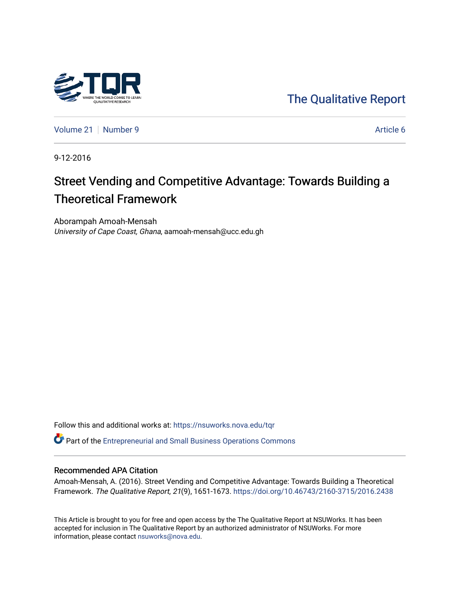

[The Qualitative Report](https://nsuworks.nova.edu/tqr) 

[Volume 21](https://nsuworks.nova.edu/tqr/vol21) [Number 9](https://nsuworks.nova.edu/tqr/vol21/iss9) Article 6

9-12-2016

# Street Vending and Competitive Advantage: Towards Building a Theoretical Framework

Aborampah Amoah-Mensah University of Cape Coast, Ghana, aamoah-mensah@ucc.edu.gh

Follow this and additional works at: [https://nsuworks.nova.edu/tqr](https://nsuworks.nova.edu/tqr?utm_source=nsuworks.nova.edu%2Ftqr%2Fvol21%2Fiss9%2F6&utm_medium=PDF&utm_campaign=PDFCoverPages) 

Part of the [Entrepreneurial and Small Business Operations Commons](http://network.bepress.com/hgg/discipline/630?utm_source=nsuworks.nova.edu%2Ftqr%2Fvol21%2Fiss9%2F6&utm_medium=PDF&utm_campaign=PDFCoverPages) 

## Recommended APA Citation

Amoah-Mensah, A. (2016). Street Vending and Competitive Advantage: Towards Building a Theoretical Framework. The Qualitative Report, 21(9), 1651-1673. <https://doi.org/10.46743/2160-3715/2016.2438>

This Article is brought to you for free and open access by the The Qualitative Report at NSUWorks. It has been accepted for inclusion in The Qualitative Report by an authorized administrator of NSUWorks. For more information, please contact [nsuworks@nova.edu.](mailto:nsuworks@nova.edu)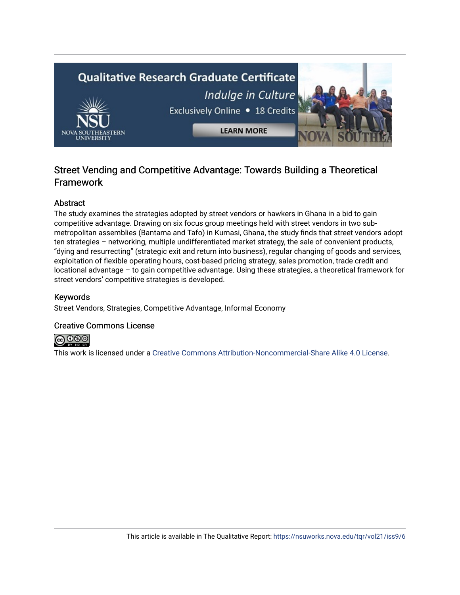

## Street Vending and Competitive Advantage: Towards Building a Theoretical Framework

## Abstract

The study examines the strategies adopted by street vendors or hawkers in Ghana in a bid to gain competitive advantage. Drawing on six focus group meetings held with street vendors in two submetropolitan assemblies (Bantama and Tafo) in Kumasi, Ghana, the study finds that street vendors adopt ten strategies – networking, multiple undifferentiated market strategy, the sale of convenient products, "dying and resurrecting" (strategic exit and return into business), regular changing of goods and services, exploitation of flexible operating hours, cost-based pricing strategy, sales promotion, trade credit and locational advantage – to gain competitive advantage. Using these strategies, a theoretical framework for street vendors' competitive strategies is developed.

## Keywords

Street Vendors, Strategies, Competitive Advantage, Informal Economy

## Creative Commons License



This work is licensed under a [Creative Commons Attribution-Noncommercial-Share Alike 4.0 License](https://creativecommons.org/licenses/by-nc-sa/4.0/).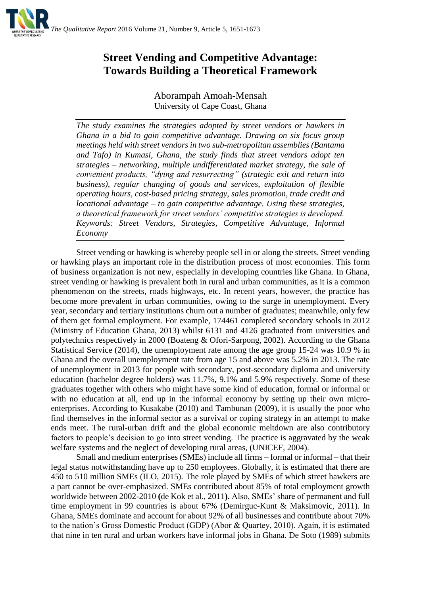

## **Street Vending and Competitive Advantage: Towards Building a Theoretical Framework**

Aborampah Amoah-Mensah University of Cape Coast, Ghana

*The study examines the strategies adopted by street vendors or hawkers in Ghana in a bid to gain competitive advantage. Drawing on six focus group meetings held with street vendors in two sub-metropolitan assemblies (Bantama and Tafo) in Kumasi, Ghana, the study finds that street vendors adopt ten strategies – networking, multiple undifferentiated market strategy, the sale of convenient products, "dying and resurrecting" (strategic exit and return into business), regular changing of goods and services, exploitation of flexible operating hours, cost-based pricing strategy, sales promotion, trade credit and locational advantage – to gain competitive advantage. Using these strategies, a theoretical framework for street vendors' competitive strategies is developed. Keywords: Street Vendors, Strategies, Competitive Advantage, Informal Economy*

Street vending or hawking is whereby people sell in or along the streets. Street vending or hawking plays an important role in the distribution process of most economies. This form of business organization is not new, especially in developing countries like Ghana. In Ghana, street vending or hawking is prevalent both in rural and urban communities, as it is a common phenomenon on the streets, roads highways, etc. In recent years, however, the practice has become more prevalent in urban communities, owing to the surge in unemployment. Every year, secondary and tertiary institutions churn out a number of graduates; meanwhile, only few of them get formal employment. For example, 174461 completed secondary schools in 2012 (Ministry of Education Ghana, 2013) whilst 6131 and 4126 graduated from universities and polytechnics respectively in 2000 (Boateng & Ofori-Sarpong, 2002). According to the Ghana Statistical Service (2014), the unemployment rate among the age group 15-24 was 10.9 % in Ghana and the overall unemployment rate from age 15 and above was 5.2% in 2013. The rate of unemployment in 2013 for people with secondary, post-secondary diploma and university education (bachelor degree holders) was 11.7%, 9.1% and 5.9% respectively. Some of these graduates together with others who might have some kind of education, formal or informal or with no education at all, end up in the informal economy by setting up their own microenterprises. According to Kusakabe (2010) and Tambunan (2009), it is usually the poor who find themselves in the informal sector as a survival or coping strategy in an attempt to make ends meet. The rural-urban drift and the global economic meltdown are also contributory factors to people's decision to go into street vending. The practice is aggravated by the weak welfare systems and the neglect of developing rural areas, (UNICEF, 2004).

Small and medium enterprises (SMEs) include all firms – formal or informal – that their legal status notwithstanding have up to 250 employees. Globally, it is estimated that there are 450 to 510 million SMEs (ILO, 2015). The role played by SMEs of which street hawkers are a part cannot be over-emphasized. SMEs contributed about 85% of total employment growth worldwide between 2002-2010 **(**de Kok et al., 2011**).** Also, SMEs' share of permanent and full time employment in 99 countries is about 67% (Demirguc-Kunt & Maksimovic, 2011). In Ghana, SMEs dominate and account for about 92% of all businesses and contribute about 70% to the nation's Gross Domestic Product (GDP) (Abor & Quartey, 2010). Again, it is estimated that nine in ten rural and urban workers have informal jobs in Ghana. De Soto (1989) submits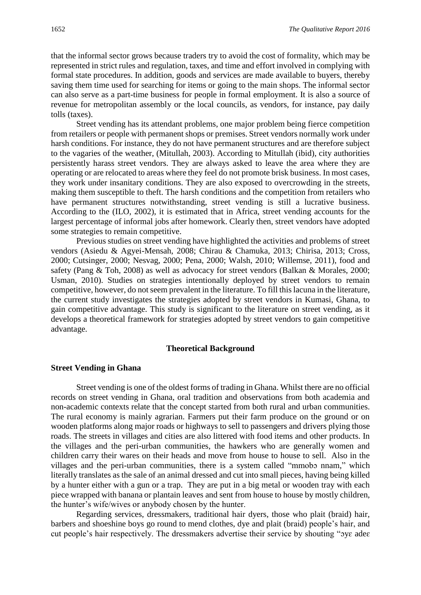that the informal sector grows because traders try to avoid the cost of formality, which may be represented in strict rules and regulation, taxes, and time and effort involved in complying with formal state procedures. In addition, goods and services are made available to buyers, thereby saving them time used for searching for items or going to the main shops. The informal sector can also serve as a part-time business for people in formal employment. It is also a source of revenue for metropolitan assembly or the local councils, as vendors, for instance, pay daily tolls (taxes).

Street vending has its attendant problems, one major problem being fierce competition from retailers or people with permanent shops or premises. Street vendors normally work under harsh conditions. For instance, they do not have permanent structures and are therefore subject to the vagaries of the weather, (Mitullah, 2003). According to Mitullah (ibid), city authorities persistently harass street vendors. They are always asked to leave the area where they are operating or are relocated to areas where they feel do not promote brisk business. In most cases, they work under insanitary conditions. They are also exposed to overcrowding in the streets, making them susceptible to theft. The harsh conditions and the competition from retailers who have permanent structures notwithstanding, street vending is still a lucrative business. According to the (ILO, 2002), it is estimated that in Africa, street vending accounts for the largest percentage of informal jobs after homework. Clearly then, street vendors have adopted some strategies to remain competitive.

Previous studies on street vending have highlighted the activities and problems of street vendors (Asiedu & Agyei-Mensah, 2008; Chirau & Chamuka, 2013; Chirisa, 2013; Cross, 2000; Cutsinger, 2000; Nesvag, 2000; Pena, 2000; Walsh, 2010; Willemse, 2011), food and safety (Pang & Toh, 2008) as well as advocacy for street vendors (Balkan & Morales, 2000; Usman, 2010). Studies on strategies intentionally deployed by street vendors to remain competitive, however, do not seem prevalent in the literature. To fill this lacuna in the literature, the current study investigates the strategies adopted by street vendors in Kumasi, Ghana, to gain competitive advantage. This study is significant to the literature on street vending, as it develops a theoretical framework for strategies adopted by street vendors to gain competitive advantage.

#### **Theoretical Background**

## **Street Vending in Ghana**

Street vending is one of the oldest forms of trading in Ghana. Whilst there are no official records on street vending in Ghana, oral tradition and observations from both academia and non-academic contexts relate that the concept started from both rural and urban communities. The rural economy is mainly agrarian. Farmers put their farm produce on the ground or on wooden platforms along major roads or highways to sell to passengers and drivers plying those roads. The streets in villages and cities are also littered with food items and other products. In the villages and the peri-urban communities, the hawkers who are generally women and children carry their wares on their heads and move from house to house to sell. Also in the villages and the peri-urban communities, there is a system called "mmobo nnam," which literally translates as the sale of an animal dressed and cut into small pieces, having being killed by a hunter either with a gun or a trap. They are put in a big metal or wooden tray with each piece wrapped with banana or plantain leaves and sent from house to house by mostly children, the hunter's wife/wives or anybody chosen by the hunter.

Regarding services, dressmakers, traditional hair dyers, those who plait (braid) hair, barbers and shoeshine boys go round to mend clothes, dye and plait (braid) people's hair, and cut people's hair respectively. The dressmakers advertise their service by shouting "ɔyɛ adeɛ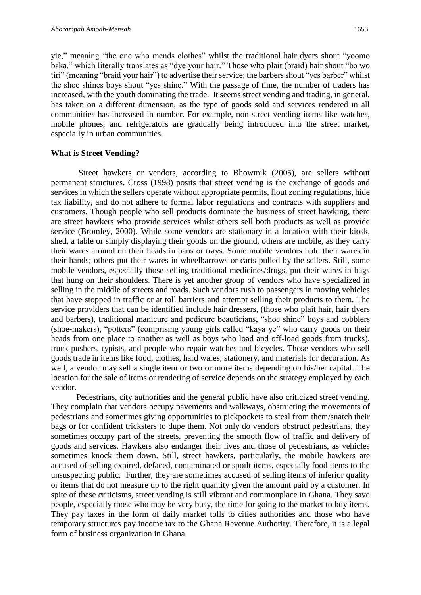yie," meaning "the one who mends clothes" whilst the traditional hair dyers shout "yoomo bɛka," which literally translates as "dye your hair." Those who plait (braid) hair shout "bɔ wo tiri" (meaning "braid your hair") to advertise their service; the barbers shout "yes barber" whilst the shoe shines boys shout "yes shine." With the passage of time, the number of traders has increased, with the youth dominating the trade. It seems street vending and trading, in general, has taken on a different dimension, as the type of goods sold and services rendered in all communities has increased in number. For example, non-street vending items like watches, mobile phones, and refrigerators are gradually being introduced into the street market, especially in urban communities.

## **What is Street Vending?**

Street hawkers or vendors, according to Bhowmik (2005), are sellers without permanent structures. Cross (1998) posits that street vending is the exchange of goods and services in which the sellers operate without appropriate permits, flout zoning regulations, hide tax liability, and do not adhere to formal labor regulations and contracts with suppliers and customers. Though people who sell products dominate the business of street hawking, there are street hawkers who provide services whilst others sell both products as well as provide service (Bromley, 2000). While some vendors are stationary in a location with their kiosk, shed, a table or simply displaying their goods on the ground, others are mobile, as they carry their wares around on their heads in pans or trays. Some mobile vendors hold their wares in their hands; others put their wares in wheelbarrows or carts pulled by the sellers. Still, some mobile vendors, especially those selling traditional medicines/drugs, put their wares in bags that hung on their shoulders. There is yet another group of vendors who have specialized in selling in the middle of streets and roads. Such vendors rush to passengers in moving vehicles that have stopped in traffic or at toll barriers and attempt selling their products to them. The service providers that can be identified include hair dressers, (those who plait hair, hair dyers and barbers), traditional manicure and pedicure beauticians, "shoe shine" boys and cobblers (shoe-makers), "potters" (comprising young girls called "kaya ye" who carry goods on their heads from one place to another as well as boys who load and off-load goods from trucks), truck pushers, typists, and people who repair watches and bicycles. Those vendors who sell goods trade in items like food, clothes, hard wares, stationery, and materials for decoration. As well, a vendor may sell a single item or two or more items depending on his/her capital. The location for the sale of items or rendering of service depends on the strategy employed by each vendor.

Pedestrians, city authorities and the general public have also criticized street vending. They complain that vendors occupy pavements and walkways, obstructing the movements of pedestrians and sometimes giving opportunities to pickpockets to steal from them/snatch their bags or for confident tricksters to dupe them. Not only do vendors obstruct pedestrians, they sometimes occupy part of the streets, preventing the smooth flow of traffic and delivery of goods and services. Hawkers also endanger their lives and those of pedestrians, as vehicles sometimes knock them down. Still, street hawkers, particularly, the mobile hawkers are accused of selling expired, defaced, contaminated or spoilt items, especially food items to the unsuspecting public. Further, they are sometimes accused of selling items of inferior quality or items that do not measure up to the right quantity given the amount paid by a customer. In spite of these criticisms, street vending is still vibrant and commonplace in Ghana. They save people, especially those who may be very busy, the time for going to the market to buy items. They pay taxes in the form of daily market tolls to cities authorities and those who have temporary structures pay income tax to the Ghana Revenue Authority. Therefore, it is a legal form of business organization in Ghana.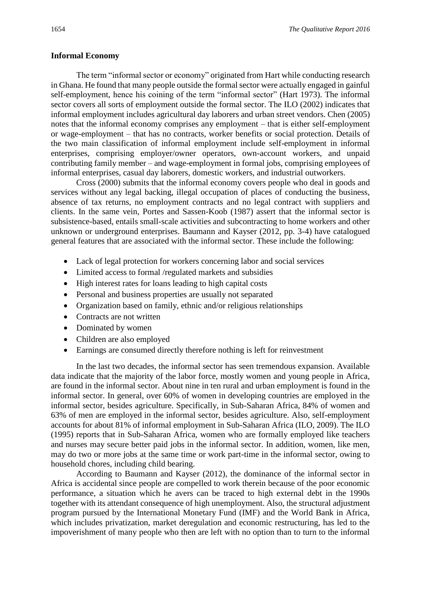#### **Informal Economy**

The term "informal sector or economy" originated from Hart while conducting research in Ghana. He found that many people outside the formal sector were actually engaged in gainful self-employment, hence his coining of the term "informal sector" (Hart 1973). The informal sector covers all sorts of employment outside the formal sector. The ILO (2002) indicates that informal employment includes agricultural day laborers and urban street vendors. Chen (2005) notes that the informal economy comprises any employment – that is either self-employment or wage-employment – that has no contracts, worker benefits or social protection. Details of the two main classification of informal employment include self-employment in informal enterprises, comprising employer/owner operators, own-account workers, and unpaid contributing family member – and wage-employment in formal jobs, comprising employees of informal enterprises, casual day laborers, domestic workers, and industrial outworkers.

Cross (2000) submits that the informal economy covers people who deal in goods and services without any legal backing, illegal occupation of places of conducting the business, absence of tax returns, no employment contracts and no legal contract with suppliers and clients. In the same vein, Portes and Sassen-Koob (1987) assert that the informal sector is subsistence-based, entails small-scale activities and subcontracting to home workers and other unknown or underground enterprises. Baumann and Kayser (2012, pp. 3-4) have catalogued general features that are associated with the informal sector. These include the following:

- Lack of legal protection for workers concerning labor and social services
- Limited access to formal /regulated markets and subsidies
- High interest rates for loans leading to high capital costs
- Personal and business properties are usually not separated
- Organization based on family, ethnic and/or religious relationships
- Contracts are not written
- Dominated by women
- Children are also employed
- Earnings are consumed directly therefore nothing is left for reinvestment

In the last two decades, the informal sector has seen tremendous expansion. Available data indicate that the majority of the labor force, mostly women and young people in Africa, are found in the informal sector. About nine in ten rural and urban employment is found in the informal sector. In general, over 60% of women in developing countries are employed in the informal sector, besides agriculture. Specifically, in Sub-Saharan Africa, 84% of women and 63% of men are employed in the informal sector, besides agriculture. Also, self-employment accounts for about 81% of informal employment in Sub-Saharan Africa (ILO, 2009). The ILO (1995) reports that in Sub-Saharan Africa, women who are formally employed like teachers and nurses may secure better paid jobs in the informal sector. In addition, women, like men, may do two or more jobs at the same time or work part-time in the informal sector, owing to household chores, including child bearing.

According to Baumann and Kayser (2012), the dominance of the informal sector in Africa is accidental since people are compelled to work therein because of the poor economic performance, a situation which he avers can be traced to high external debt in the 1990s together with its attendant consequence of high unemployment. Also, the structural adjustment program pursued by the International Monetary Fund (IMF) and the World Bank in Africa, which includes privatization, market deregulation and economic restructuring, has led to the impoverishment of many people who then are left with no option than to turn to the informal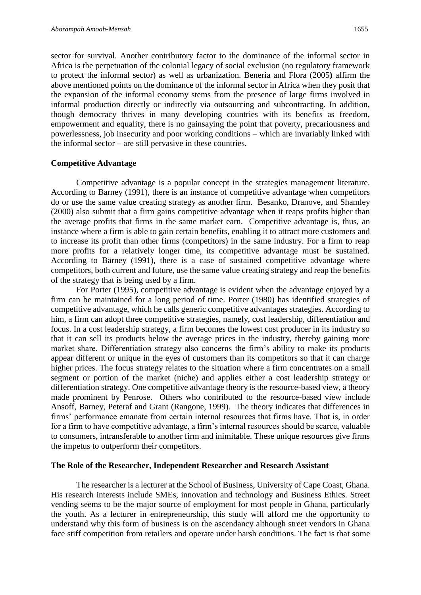sector for survival. Another contributory factor to the dominance of the informal sector in Africa is the perpetuation of the colonial legacy of social exclusion (no regulatory framework to protect the informal sector) as well as urbanization. Beneria and Flora (2005**)** affirm the above mentioned points on the dominance of the informal sector in Africa when they posit that the expansion of the informal economy stems from the presence of large firms involved in informal production directly or indirectly via outsourcing and subcontracting. In addition, though democracy thrives in many developing countries with its benefits as freedom, empowerment and equality, there is no gainsaying the point that poverty, precariousness and powerlessness, job insecurity and poor working conditions – which are invariably linked with the informal sector – are still pervasive in these countries.

#### **Competitive Advantage**

Competitive advantage is a popular concept in the strategies management literature. According to Barney (1991), there is an instance of competitive advantage when competitors do or use the same value creating strategy as another firm. Besanko, Dranove, and Shamley (2000) also submit that a firm gains competitive advantage when it reaps profits higher than the average profits that firms in the same market earn. Competitive advantage is, thus, an instance where a firm is able to gain certain benefits, enabling it to attract more customers and to increase its profit than other firms (competitors) in the same industry. For a firm to reap more profits for a relatively longer time, its competitive advantage must be sustained. According to Barney (1991), there is a case of sustained competitive advantage where competitors, both current and future, use the same value creating strategy and reap the benefits of the strategy that is being used by a firm.

For Porter (1995), competitive advantage is evident when the advantage enjoyed by a firm can be maintained for a long period of time. Porter (1980) has identified strategies of competitive advantage, which he calls generic competitive advantages strategies. According to him, a firm can adopt three competitive strategies, namely, cost leadership, differentiation and focus. In a cost leadership strategy, a firm becomes the lowest cost producer in its industry so that it can sell its products below the average prices in the industry, thereby gaining more market share. Differentiation strategy also concerns the firm's ability to make its products appear different or unique in the eyes of customers than its competitors so that it can charge higher prices. The focus strategy relates to the situation where a firm concentrates on a small segment or portion of the market (niche) and applies either a cost leadership strategy or differentiation strategy. One competitive advantage theory is the resource-based view, a theory made prominent by Penrose. Others who contributed to the resource-based view include Ansoff, Barney, Peteraf and Grant (Rangone, 1999).The theory indicates that differences in firms' performance emanate from certain internal resources that firms have. That is, in order for a firm to have competitive advantage, a firm's internal resources should be scarce, valuable to consumers, intransferable to another firm and inimitable. These unique resources give firms the impetus to outperform their competitors.

#### **The Role of the Researcher, Independent Researcher and Research Assistant**

The researcher is a lecturer at the School of Business, University of Cape Coast, Ghana. His research interests include SMEs, innovation and technology and Business Ethics. Street vending seems to be the major source of employment for most people in Ghana, particularly the youth. As a lecturer in entrepreneurship, this study will afford me the opportunity to understand why this form of business is on the ascendancy although street vendors in Ghana face stiff competition from retailers and operate under harsh conditions. The fact is that some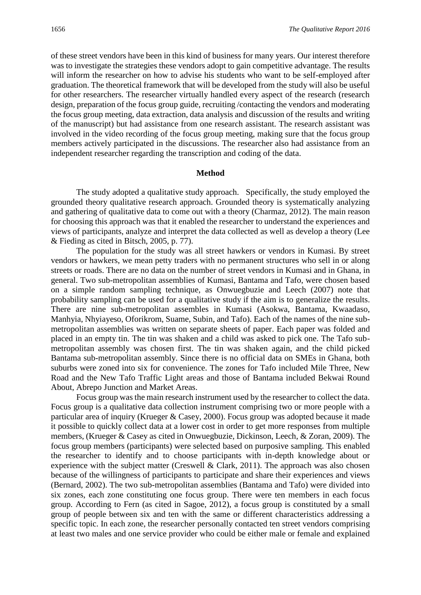of these street vendors have been in this kind of business for many years. Our interest therefore was to investigate the strategies these vendors adopt to gain competitive advantage. The results will inform the researcher on how to advise his students who want to be self-employed after graduation. The theoretical framework that will be developed from the study will also be useful for other researchers. The researcher virtually handled every aspect of the research (research design, preparation of the focus group guide, recruiting /contacting the vendors and moderating the focus group meeting, data extraction, data analysis and discussion of the results and writing of the manuscript) but had assistance from one research assistant. The research assistant was involved in the video recording of the focus group meeting, making sure that the focus group members actively participated in the discussions. The researcher also had assistance from an independent researcher regarding the transcription and coding of the data.

#### **Method**

The study adopted a qualitative study approach. Specifically, the study employed the grounded theory qualitative research approach. Grounded theory is systematically analyzing and gathering of qualitative data to come out with a theory (Charmaz, 2012). The main reason for choosing this approach was that it enabled the researcher to understand the experiences and views of participants, analyze and interpret the data collected as well as develop a theory (Lee & Fieding as cited in Bitsch, 2005, p. 77).

The population for the study was all street hawkers or vendors in Kumasi. By street vendors or hawkers, we mean petty traders with no permanent structures who sell in or along streets or roads. There are no data on the number of street vendors in Kumasi and in Ghana, in general. Two sub-metropolitan assemblies of Kumasi, Bantama and Tafo, were chosen based on a simple random sampling technique, as Onwuegbuzie and Leech (2007) note that probability sampling can be used for a qualitative study if the aim is to generalize the results. There are nine sub-metropolitan assembles in Kumasi (Asokwa, Bantama, Kwaadaso, Manhyia, Nhyiayeso, Oforikrom, Suame, Subin, and Tafo). Each of the names of the nine submetropolitan assemblies was written on separate sheets of paper. Each paper was folded and placed in an empty tin. The tin was shaken and a child was asked to pick one. The Tafo submetropolitan assembly was chosen first. The tin was shaken again, and the child picked Bantama sub-metropolitan assembly. Since there is no official data on SMEs in Ghana, both suburbs were zoned into six for convenience. The zones for Tafo included Mile Three, New Road and the New Tafo Traffic Light areas and those of Bantama included Bekwai Round About, Abrepo Junction and Market Areas.

Focus group was the main research instrument used by the researcher to collect the data. Focus group is a qualitative data collection instrument comprising two or more people with a particular area of inquiry (Krueger & Casey, 2000). Focus group was adopted because it made it possible to quickly collect data at a lower cost in order to get more responses from multiple members, (Krueger & Casey as cited in Onwuegbuzie, Dickinson, Leech, & Zoran, 2009). The focus group members (participants) were selected based on purposive sampling. This enabled the researcher to identify and to choose participants with in-depth knowledge about or experience with the subject matter (Creswell & Clark, 2011). The approach was also chosen because of the willingness of participants to participate and share their experiences and views (Bernard, 2002). The two sub-metropolitan assemblies (Bantama and Tafo) were divided into six zones, each zone constituting one focus group. There were ten members in each focus group. According to Fern (as cited in Sagoe, 2012), a focus group is constituted by a small group of people between six and ten with the same or different characteristics addressing a specific topic. In each zone, the researcher personally contacted ten street vendors comprising at least two males and one service provider who could be either male or female and explained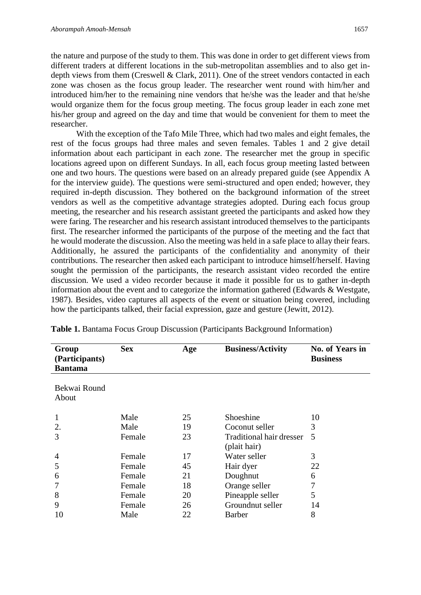the nature and purpose of the study to them. This was done in order to get different views from different traders at different locations in the sub-metropolitan assemblies and to also get indepth views from them (Creswell & Clark, 2011). One of the street vendors contacted in each zone was chosen as the focus group leader. The researcher went round with him/her and introduced him/her to the remaining nine vendors that he/she was the leader and that he/she would organize them for the focus group meeting. The focus group leader in each zone met his/her group and agreed on the day and time that would be convenient for them to meet the researcher.

With the exception of the Tafo Mile Three, which had two males and eight females, the rest of the focus groups had three males and seven females. Tables 1 and 2 give detail information about each participant in each zone. The researcher met the group in specific locations agreed upon on different Sundays. In all, each focus group meeting lasted between one and two hours. The questions were based on an already prepared guide (see Appendix A for the interview guide). The questions were semi-structured and open ended; however, they required in-depth discussion. They bothered on the background information of the street vendors as well as the competitive advantage strategies adopted. During each focus group meeting, the researcher and his research assistant greeted the participants and asked how they were faring. The researcher and his research assistant introduced themselves to the participants first. The researcher informed the participants of the purpose of the meeting and the fact that he would moderate the discussion. Also the meeting was held in a safe place to allay their fears. Additionally, he assured the participants of the confidentiality and anonymity of their contributions. The researcher then asked each participant to introduce himself/herself. Having sought the permission of the participants, the research assistant video recorded the entire discussion. We used a video recorder because it made it possible for us to gather in-depth information about the event and to categorize the information gathered (Edwards & Westgate, 1987). Besides, video captures all aspects of the event or situation being covered, including how the participants talked, their facial expression, gaze and gesture (Jewitt, 2012).

| Group<br>(Participants)<br><b>Bantama</b> | <b>Sex</b> | Age | <b>Business/Activity</b>                        | No. of Years in<br><b>Business</b> |
|-------------------------------------------|------------|-----|-------------------------------------------------|------------------------------------|
| Bekwai Round<br>About                     |            |     |                                                 |                                    |
| 1                                         | Male       | 25  | Shoeshine                                       | 10                                 |
| 2.                                        | Male       | 19  | Coconut seller                                  | 3                                  |
| 3                                         | Female     | 23  | <b>Traditional hair dresser</b><br>(plait hair) | 5                                  |
| 4                                         | Female     | 17  | Water seller                                    | 3                                  |
| 5                                         | Female     | 45  | Hair dyer                                       | 22                                 |
| 6                                         | Female     | 21  | Doughnut                                        | 6                                  |
|                                           | Female     | 18  | Orange seller                                   | 7                                  |
| 8                                         | Female     | 20  | Pineapple seller                                | 5                                  |
| 9                                         | Female     | 26  | Groundnut seller                                | 14                                 |
| 10                                        | Male       | 22  | <b>Barber</b>                                   | 8                                  |

**Table 1.** Bantama Focus Group Discussion (Participants Background Information)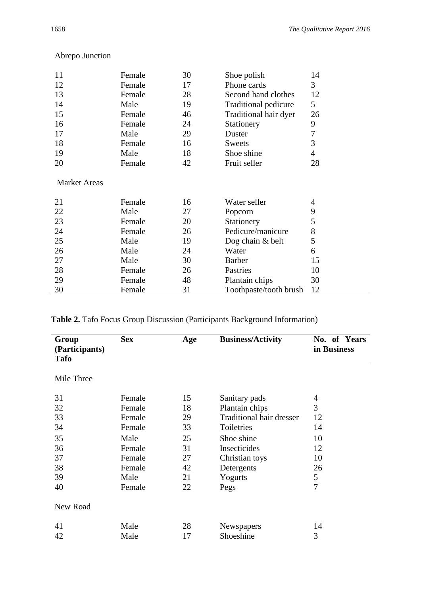| 11                  | Female | 30 | Shoe polish            | 14              |
|---------------------|--------|----|------------------------|-----------------|
| 12                  | Female | 17 | Phone cards            | 3               |
| 13                  | Female | 28 | Second hand clothes    | 12              |
| 14                  | Male   | 19 | Traditional pedicure   | $5\overline{)}$ |
| 15                  | Female | 46 | Traditional hair dyer  | 26              |
| 16                  | Female | 24 | Stationery             | 9               |
| 17                  | Male   | 29 | Duster                 | 7               |
| 18                  | Female | 16 | Sweets                 | 3               |
| 19                  | Male   | 18 | Shoe shine             | 4               |
| 20                  | Female | 42 | Fruit seller           | 28              |
| <b>Market Areas</b> |        |    |                        |                 |
| 21                  | Female | 16 | Water seller           | 4               |
|                     |        |    |                        |                 |
| 22                  | Male   | 27 | Popcorn                | 9               |
| 23                  | Female | 20 | Stationery             | 5               |
| 24                  | Female | 26 | Pedicure/manicure      | 8               |
| 25                  | Male   | 19 | Dog chain $&$ belt     | 5               |
| 26                  | Male   | 24 | Water                  | 6               |
| 27                  | Male   | 30 | <b>Barber</b>          | 15              |
| 28                  | Female | 26 | Pastries               | 10              |
| 29                  | Female | 48 | Plantain chips         | 30              |
| 30                  | Female | 31 | Toothpaste/tooth brush | 12              |
|                     |        |    |                        |                 |

## Abrepo Junction

| Group<br>(Participants)<br><b>Tafo</b> | <b>Sex</b> | Age | <b>Business/Activity</b>        | No. of Years<br>in Business |
|----------------------------------------|------------|-----|---------------------------------|-----------------------------|
| Mile Three                             |            |     |                                 |                             |
| 31                                     | Female     | 15  | Sanitary pads                   | 4                           |
| 32                                     | Female     | 18  | Plantain chips                  | 3                           |
| 33                                     | Female     | 29  | <b>Traditional hair dresser</b> | 12                          |
| 34                                     | Female     | 33  | Toiletries                      | 14                          |
| 35                                     | Male       | 25  | Shoe shine                      | 10                          |
| 36                                     | Female     | 31  | Insecticides                    | 12                          |
| 37                                     | Female     | 27  | Christian toys                  | 10                          |
| 38                                     | Female     | 42  | Detergents                      | 26                          |
| 39                                     | Male       | 21  | Yogurts                         | 5                           |
| 40                                     | Female     | 22  | Pegs                            | 7                           |
| New Road                               |            |     |                                 |                             |
| 41                                     | Male       | 28  | Newspapers                      | 14                          |
| 42                                     | Male       | 17  | Shoeshine                       | 3                           |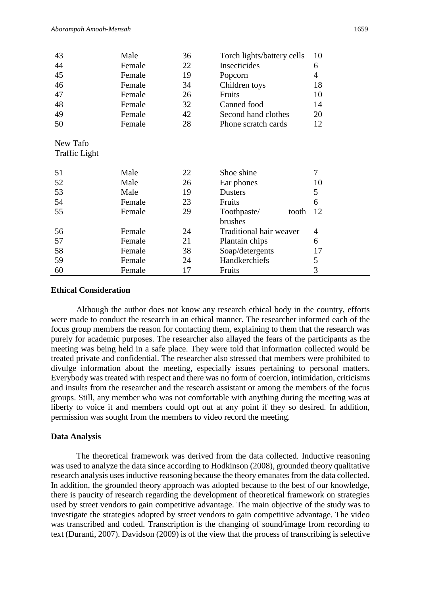| 43                               | Male   | 36 | Torch lights/battery cells | 10             |
|----------------------------------|--------|----|----------------------------|----------------|
| 44                               | Female | 22 | Insecticides               | 6              |
| 45                               | Female | 19 | Popcorn                    | $\overline{4}$ |
| 46                               | Female | 34 | Children toys              | 18             |
| 47                               | Female | 26 | Fruits                     | 10             |
| 48                               | Female | 32 | Canned food                | 14             |
| 49                               | Female | 42 | Second hand clothes        | 20             |
| 50                               | Female | 28 | Phone scratch cards        | 12             |
| New Tafo<br><b>Traffic Light</b> |        |    |                            |                |
| 51                               | Male   | 22 | Shoe shine                 | 7              |
| 52                               | Male   | 26 | Ear phones                 | 10             |
| 53                               | Male   | 19 | <b>Dusters</b>             | 5              |
| 54                               | Female | 23 | Fruits                     | 6              |
| 55                               | Female | 29 | Toothpaste/<br>tooth       | 12             |
|                                  |        |    | brushes                    |                |
| 56                               | Female | 24 | Traditional hair weaver    | $\overline{4}$ |
| 57                               | Female | 21 | Plantain chips             | 6              |
| 58                               | Female | 38 | Soap/detergents            | 17             |
| 59                               | Female | 24 | Handkerchiefs              | 5              |
| 60                               | Female | 17 | Fruits                     | 3              |

## **Ethical Consideration**

Although the author does not know any research ethical body in the country, efforts were made to conduct the research in an ethical manner. The researcher informed each of the focus group members the reason for contacting them, explaining to them that the research was purely for academic purposes. The researcher also allayed the fears of the participants as the meeting was being held in a safe place. They were told that information collected would be treated private and confidential. The researcher also stressed that members were prohibited to divulge information about the meeting, especially issues pertaining to personal matters. Everybody was treated with respect and there was no form of coercion, intimidation, criticisms and insults from the researcher and the research assistant or among the members of the focus groups. Still, any member who was not comfortable with anything during the meeting was at liberty to voice it and members could opt out at any point if they so desired. In addition, permission was sought from the members to video record the meeting.

## **Data Analysis**

The theoretical framework was derived from the data collected. Inductive reasoning was used to analyze the data since according to Hodkinson (2008), grounded theory qualitative research analysis uses inductive reasoning because the theory emanates from the data collected. In addition, the grounded theory approach was adopted because to the best of our knowledge, there is paucity of research regarding the development of theoretical framework on strategies used by street vendors to gain competitive advantage. The main objective of the study was to investigate the strategies adopted by street vendors to gain competitive advantage. The video was transcribed and coded. Transcription is the changing of sound/image from recording to text (Duranti, 2007). Davidson (2009) is of the view that the process of transcribing is selective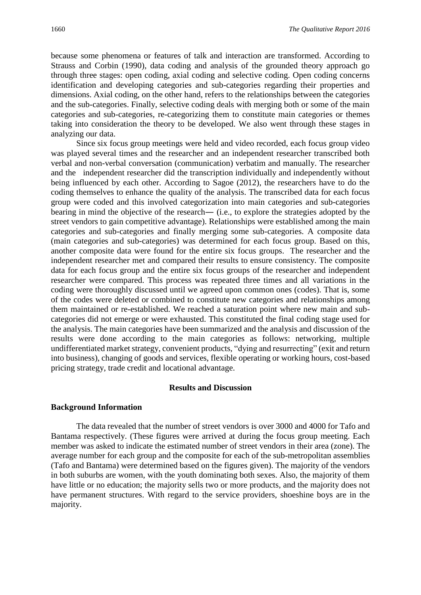because some phenomena or features of talk and interaction are transformed. According to Strauss and Corbin (1990), data coding and analysis of the grounded theory approach go through three stages: open coding, axial coding and selective coding. Open coding concerns identification and developing categories and sub-categories regarding their properties and dimensions. Axial coding, on the other hand, refers to the relationships between the categories and the sub-categories. Finally, selective coding deals with merging both or some of the main categories and sub-categories, re-categorizing them to constitute main categories or themes taking into consideration the theory to be developed. We also went through these stages in analyzing our data.

Since six focus group meetings were held and video recorded, each focus group video was played several times and the researcher and an independent researcher transcribed both verbal and non-verbal conversation (communication) verbatim and manually. The researcher and the independent researcher did the transcription individually and independently without being influenced by each other. According to Sagoe (2012), the researchers have to do the coding themselves to enhance the quality of the analysis. The transcribed data for each focus group were coded and this involved categorization into main categories and sub-categories bearing in mind the objective of the research― (i.e., to explore the strategies adopted by the street vendors to gain competitive advantage). Relationships were established among the main categories and sub-categories and finally merging some sub-categories. A composite data (main categories and sub-categories) was determined for each focus group. Based on this, another composite data were found for the entire six focus groups. The researcher and the independent researcher met and compared their results to ensure consistency. The composite data for each focus group and the entire six focus groups of the researcher and independent researcher were compared. This process was repeated three times and all variations in the coding were thoroughly discussed until we agreed upon common ones (codes). That is, some of the codes were deleted or combined to constitute new categories and relationships among them maintained or re-established. We reached a saturation point where new main and subcategories did not emerge or were exhausted. This constituted the final coding stage used for the analysis. The main categories have been summarized and the analysis and discussion of the results were done according to the main categories as follows: networking, multiple undifferentiated market strategy, convenient products, "dying and resurrecting" (exit and return into business), changing of goods and services, flexible operating or working hours, cost-based pricing strategy, trade credit and locational advantage.

#### **Results and Discussion**

#### **Background Information**

The data revealed that the number of street vendors is over 3000 and 4000 for Tafo and Bantama respectively. (These figures were arrived at during the focus group meeting. Each member was asked to indicate the estimated number of street vendors in their area (zone). The average number for each group and the composite for each of the sub-metropolitan assemblies (Tafo and Bantama) were determined based on the figures given). The majority of the vendors in both suburbs are women, with the youth dominating both sexes. Also, the majority of them have little or no education; the majority sells two or more products, and the majority does not have permanent structures. With regard to the service providers, shoeshine boys are in the majority.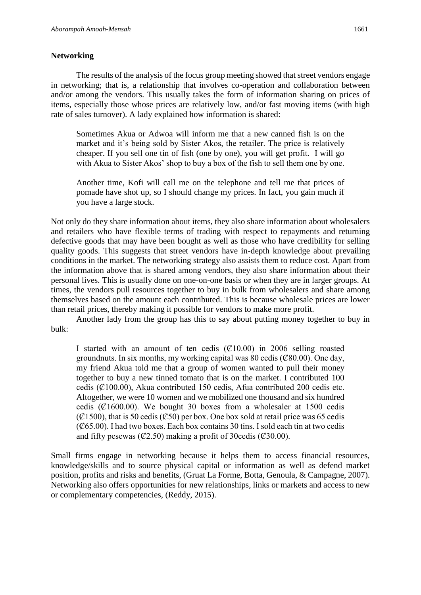## **Networking**

The results of the analysis of the focus group meeting showed that street vendors engage in networking; that is, a relationship that involves co-operation and collaboration between and/or among the vendors. This usually takes the form of information sharing on prices of items, especially those whose prices are relatively low, and/or fast moving items (with high rate of sales turnover). A lady explained how information is shared:

Sometimes Akua or Adwoa will inform me that a new canned fish is on the market and it's being sold by Sister Akos, the retailer. The price is relatively cheaper. If you sell one tin of fish (one by one), you will get profit. I will go with Akua to Sister Akos' shop to buy a box of the fish to sell them one by one.

Another time, Kofi will call me on the telephone and tell me that prices of pomade have shot up, so I should change my prices. In fact, you gain much if you have a large stock.

Not only do they share information about items, they also share information about wholesalers and retailers who have flexible terms of trading with respect to repayments and returning defective goods that may have been bought as well as those who have credibility for selling quality goods. This suggests that street vendors have in-depth knowledge about prevailing conditions in the market. The networking strategy also assists them to reduce cost. Apart from the information above that is shared among vendors, they also share information about their personal lives. This is usually done on one-on-one basis or when they are in larger groups. At times, the vendors pull resources together to buy in bulk from wholesalers and share among themselves based on the amount each contributed. This is because wholesale prices are lower than retail prices, thereby making it possible for vendors to make more profit.

Another lady from the group has this to say about putting money together to buy in bulk:

I started with an amount of ten cedis  $(C10.00)$  in 2006 selling roasted groundnuts. In six months, my working capital was 80 cedis  $(\mathcal{C}80.00)$ . One day, my friend Akua told me that a group of women wanted to pull their money together to buy a new tinned tomato that is on the market. I contributed 100 cedis (Ȼ100.00), Akua contributed 150 cedis, Afua contributed 200 cedis etc. Altogether, we were 10 women and we mobilized one thousand and six hundred cedis ( $\mathcal{C}1600.00$ ). We bought 30 boxes from a wholesaler at 1500 cedis  $({\mathcal{C}}1500)$ , that is 50 cedis ( ${\mathcal{C}}50$ ) per box. One box sold at retail price was 65 cedis  $({\cal C}65.00)$ . I had two boxes. Each box contains 30 tins. I sold each tin at two cedis and fifty pesewas ( $\mathcal{C}2.50$ ) making a profit of 30 cedis ( $\mathcal{C}30.00$ ).

Small firms engage in networking because it helps them to access financial resources, knowledge/skills and to source physical capital or information as well as defend market position, profits and risks and benefits, (Gruat La Forme, Botta, Genoula, & Campagne, 2007). Networking also offers opportunities for new relationships, links or markets and access to new or complementary competencies, (Reddy, 2015).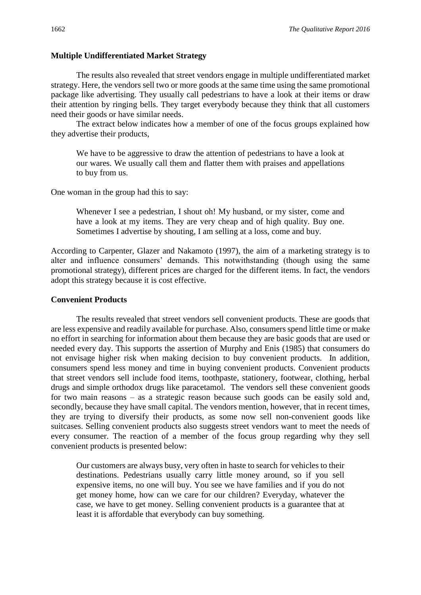## **Multiple Undifferentiated Market Strategy**

The results also revealed that street vendors engage in multiple undifferentiated market strategy. Here, the vendors sell two or more goods at the same time using the same promotional package like advertising. They usually call pedestrians to have a look at their items or draw their attention by ringing bells. They target everybody because they think that all customers need their goods or have similar needs.

The extract below indicates how a member of one of the focus groups explained how they advertise their products,

We have to be aggressive to draw the attention of pedestrians to have a look at our wares. We usually call them and flatter them with praises and appellations to buy from us.

One woman in the group had this to say:

Whenever I see a pedestrian, I shout oh! My husband, or my sister, come and have a look at my items. They are very cheap and of high quality. Buy one. Sometimes I advertise by shouting, I am selling at a loss, come and buy.

According to Carpenter, Glazer and Nakamoto (1997), the aim of a marketing strategy is to alter and influence consumers' demands. This notwithstanding (though using the same promotional strategy), different prices are charged for the different items. In fact, the vendors adopt this strategy because it is cost effective.

#### **Convenient Products**

The results revealed that street vendors sell convenient products. These are goods that are less expensive and readily available for purchase. Also, consumers spend little time or make no effort in searching for information about them because they are basic goods that are used or needed every day. This supports the assertion of Murphy and Enis (1985) that consumers do not envisage higher risk when making decision to buy convenient products. In addition, consumers spend less money and time in buying convenient products. Convenient products that street vendors sell include food items, toothpaste, stationery, footwear, clothing, herbal drugs and simple orthodox drugs like paracetamol. The vendors sell these convenient goods for two main reasons – as a strategic reason because such goods can be easily sold and, secondly, because they have small capital. The vendors mention, however, that in recent times, they are trying to diversify their products, as some now sell non-convenient goods like suitcases. Selling convenient products also suggests street vendors want to meet the needs of every consumer. The reaction of a member of the focus group regarding why they sell convenient products is presented below:

Our customers are always busy, very often in haste to search for vehicles to their destinations. Pedestrians usually carry little money around, so if you sell expensive items, no one will buy. You see we have families and if you do not get money home, how can we care for our children? Everyday, whatever the case, we have to get money. Selling convenient products is a guarantee that at least it is affordable that everybody can buy something.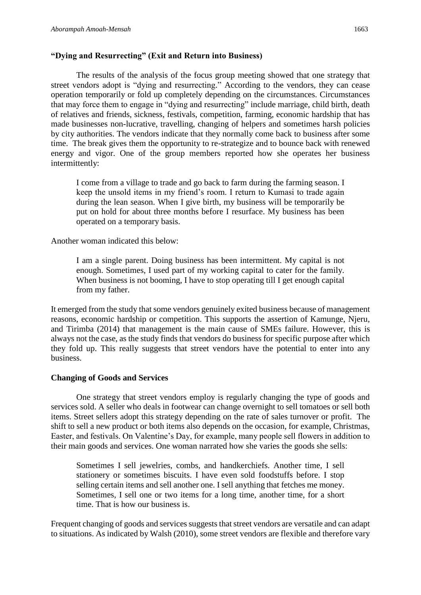## **"Dying and Resurrecting" (Exit and Return into Business)**

The results of the analysis of the focus group meeting showed that one strategy that street vendors adopt is "dying and resurrecting." According to the vendors, they can cease operation temporarily or fold up completely depending on the circumstances. Circumstances that may force them to engage in "dying and resurrecting" include marriage, child birth, death of relatives and friends, sickness, festivals, competition, farming, economic hardship that has made businesses non-lucrative, travelling, changing of helpers and sometimes harsh policies by city authorities. The vendors indicate that they normally come back to business after some time. The break gives them the opportunity to re-strategize and to bounce back with renewed energy and vigor. One of the group members reported how she operates her business intermittently:

I come from a village to trade and go back to farm during the farming season. I keep the unsold items in my friend's room. I return to Kumasi to trade again during the lean season. When I give birth, my business will be temporarily be put on hold for about three months before I resurface. My business has been operated on a temporary basis.

Another woman indicated this below:

I am a single parent. Doing business has been intermittent. My capital is not enough. Sometimes, I used part of my working capital to cater for the family. When business is not booming, I have to stop operating till I get enough capital from my father.

It emerged from the study that some vendors genuinely exited business because of management reasons, economic hardship or competition. This supports the assertion of Kamunge, Njeru, and Tirimba (2014) that management is the main cause of SMEs failure. However, this is always not the case, as the study finds that vendors do business for specific purpose after which they fold up. This really suggests that street vendors have the potential to enter into any business.

## **Changing of Goods and Services**

One strategy that street vendors employ is regularly changing the type of goods and services sold. A seller who deals in footwear can change overnight to sell tomatoes or sell both items. Street sellers adopt this strategy depending on the rate of sales turnover or profit. The shift to sell a new product or both items also depends on the occasion, for example, Christmas, Easter, and festivals. On Valentine's Day, for example, many people sell flowers in addition to their main goods and services. One woman narrated how she varies the goods she sells:

Sometimes I sell jewelries, combs, and handkerchiefs. Another time, I sell stationery or sometimes biscuits. I have even sold foodstuffs before. I stop selling certain items and sell another one. I sell anything that fetches me money. Sometimes, I sell one or two items for a long time, another time, for a short time. That is how our business is.

Frequent changing of goods and services suggests that street vendors are versatile and can adapt to situations. As indicated by Walsh (2010), some street vendors are flexible and therefore vary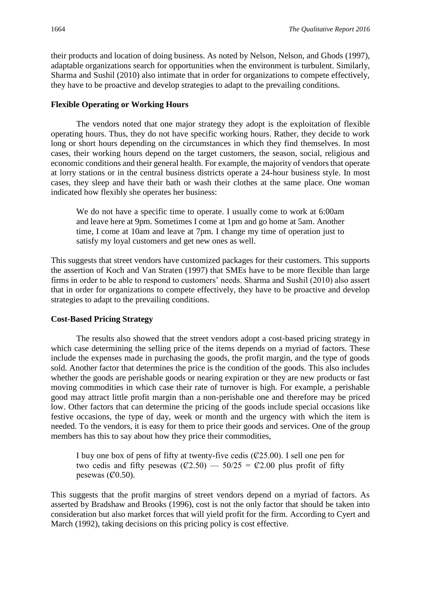their products and location of doing business. As noted by Nelson, Nelson, and Ghods (1997), adaptable organizations search for opportunities when the environment is turbulent. Similarly, Sharma and Sushil (2010) also intimate that in order for organizations to compete effectively, they have to be proactive and develop strategies to adapt to the prevailing conditions.

## **Flexible Operating or Working Hours**

The vendors noted that one major strategy they adopt is the exploitation of flexible operating hours. Thus, they do not have specific working hours. Rather, they decide to work long or short hours depending on the circumstances in which they find themselves. In most cases, their working hours depend on the target customers, the season, social, religious and economic conditions and their general health. For example, the majority of vendors that operate at lorry stations or in the central business districts operate a 24-hour business style. In most cases, they sleep and have their bath or wash their clothes at the same place. One woman indicated how flexibly she operates her business:

We do not have a specific time to operate. I usually come to work at 6:00am and leave here at 9pm. Sometimes I come at 1pm and go home at 5am. Another time, I come at 10am and leave at 7pm. I change my time of operation just to satisfy my loyal customers and get new ones as well.

This suggests that street vendors have customized packages for their customers. This supports the assertion of Koch and Van Straten (1997) that SMEs have to be more flexible than large firms in order to be able to respond to customers' needs. Sharma and Sushil (2010) also assert that in order for organizations to compete effectively, they have to be proactive and develop strategies to adapt to the prevailing conditions.

#### **Cost-Based Pricing Strategy**

The results also showed that the street vendors adopt a cost-based pricing strategy in which case determining the selling price of the items depends on a myriad of factors. These include the expenses made in purchasing the goods, the profit margin, and the type of goods sold. Another factor that determines the price is the condition of the goods. This also includes whether the goods are perishable goods or nearing expiration or they are new products or fast moving commodities in which case their rate of turnover is high. For example, a perishable good may attract little profit margin than a non-perishable one and therefore may be priced low. Other factors that can determine the pricing of the goods include special occasions like festive occasions, the type of day, week or month and the urgency with which the item is needed. To the vendors, it is easy for them to price their goods and services. One of the group members has this to say about how they price their commodities,

I buy one box of pens of fifty at twenty-five cedis (Ȼ25.00). I sell one pen for two cedis and fifty pesewas ( $\mathcal{C}2.50$ ) — 50/25 =  $\mathcal{C}2.00$  plus profit of fifty pesewas  $({\mathcal{C}}0.50)$ .

This suggests that the profit margins of street vendors depend on a myriad of factors. As asserted by Bradshaw and Brooks (1996), cost is not the only factor that should be taken into consideration but also market forces that will yield profit for the firm. According to Cyert and March (1992), taking decisions on this pricing policy is cost effective.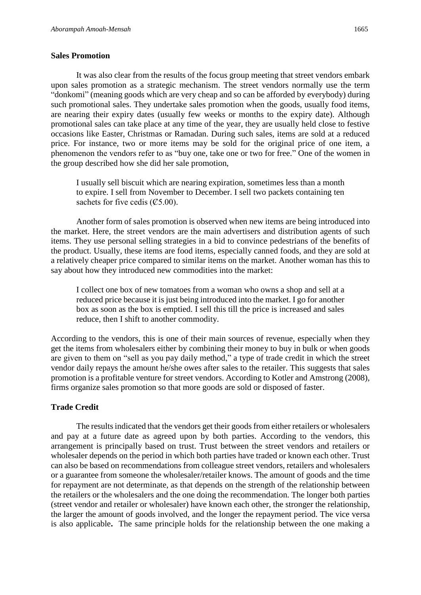It was also clear from the results of the focus group meeting that street vendors embark upon sales promotion as a strategic mechanism. The street vendors normally use the term "donkomi" (meaning goods which are very cheap and so can be afforded by everybody) during such promotional sales. They undertake sales promotion when the goods, usually food items, are nearing their expiry dates (usually few weeks or months to the expiry date). Although promotional sales can take place at any time of the year, they are usually held close to festive occasions like Easter, Christmas or Ramadan. During such sales, items are sold at a reduced price. For instance, two or more items may be sold for the original price of one item, a phenomenon the vendors refer to as "buy one, take one or two for free." One of the women in the group described how she did her sale promotion,

I usually sell biscuit which are nearing expiration, sometimes less than a month to expire. I sell from November to December. I sell two packets containing ten sachets for five cedis  $(\mathcal{C}5.00)$ .

Another form of sales promotion is observed when new items are being introduced into the market. Here, the street vendors are the main advertisers and distribution agents of such items. They use personal selling strategies in a bid to convince pedestrians of the benefits of the product. Usually, these items are food items, especially canned foods, and they are sold at a relatively cheaper price compared to similar items on the market. Another woman has this to say about how they introduced new commodities into the market:

I collect one box of new tomatoes from a woman who owns a shop and sell at a reduced price because it is just being introduced into the market. I go for another box as soon as the box is emptied. I sell this till the price is increased and sales reduce, then I shift to another commodity.

According to the vendors, this is one of their main sources of revenue, especially when they get the items from wholesalers either by combining their money to buy in bulk or when goods are given to them on "sell as you pay daily method," a type of trade credit in which the street vendor daily repays the amount he/she owes after sales to the retailer. This suggests that sales promotion is a profitable venture for street vendors. According to Kotler and Amstrong (2008), firms organize sales promotion so that more goods are sold or disposed of faster.

## **Trade Credit**

The results indicated that the vendors get their goods from either retailers or wholesalers and pay at a future date as agreed upon by both parties. According to the vendors, this arrangement is principally based on trust. Trust between the street vendors and retailers or wholesaler depends on the period in which both parties have traded or known each other. Trust can also be based on recommendations from colleague street vendors, retailers and wholesalers or a guarantee from someone the wholesaler/retailer knows. The amount of goods and the time for repayment are not determinate, as that depends on the strength of the relationship between the retailers or the wholesalers and the one doing the recommendation. The longer both parties (street vendor and retailer or wholesaler) have known each other, the stronger the relationship, the larger the amount of goods involved, and the longer the repayment period. The vice versa is also applicable**.** The same principle holds for the relationship between the one making a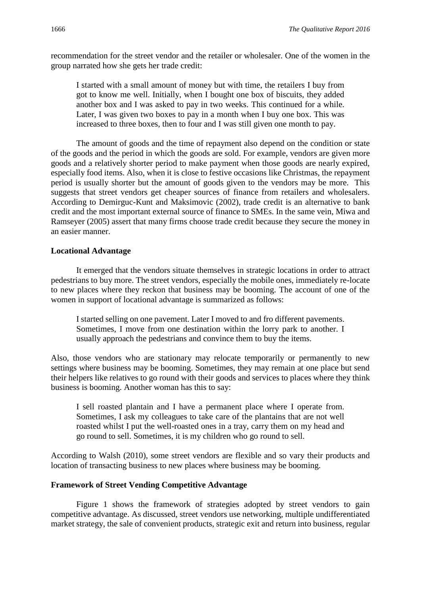recommendation for the street vendor and the retailer or wholesaler. One of the women in the group narrated how she gets her trade credit:

I started with a small amount of money but with time, the retailers I buy from got to know me well. Initially, when I bought one box of biscuits, they added another box and I was asked to pay in two weeks. This continued for a while. Later, I was given two boxes to pay in a month when I buy one box. This was increased to three boxes, then to four and I was still given one month to pay.

The amount of goods and the time of repayment also depend on the condition or state of the goods and the period in which the goods are sold. For example, vendors are given more goods and a relatively shorter period to make payment when those goods are nearly expired, especially food items. Also, when it is close to festive occasions like Christmas, the repayment period is usually shorter but the amount of goods given to the vendors may be more. This suggests that street vendors get cheaper sources of finance from retailers and wholesalers. According to Demirguc-Kunt and Maksimovic (2002), trade credit is an alternative to bank credit and the most important external source of finance to SMEs. In the same vein, Miwa and Ramseyer (2005) assert that many firms choose trade credit because they secure the money in an easier manner.

## **Locational Advantage**

It emerged that the vendors situate themselves in strategic locations in order to attract pedestrians to buy more. The street vendors, especially the mobile ones, immediately re-locate to new places where they reckon that business may be booming. The account of one of the women in support of locational advantage is summarized as follows:

I started selling on one pavement. Later I moved to and fro different pavements. Sometimes, I move from one destination within the lorry park to another. I usually approach the pedestrians and convince them to buy the items.

Also, those vendors who are stationary may relocate temporarily or permanently to new settings where business may be booming. Sometimes, they may remain at one place but send their helpers like relatives to go round with their goods and services to places where they think business is booming. Another woman has this to say:

I sell roasted plantain and I have a permanent place where I operate from. Sometimes, I ask my colleagues to take care of the plantains that are not well roasted whilst I put the well-roasted ones in a tray, carry them on my head and go round to sell. Sometimes, it is my children who go round to sell.

According to Walsh (2010), some street vendors are flexible and so vary their products and location of transacting business to new places where business may be booming.

## **Framework of Street Vending Competitive Advantage**

Figure 1 shows the framework of strategies adopted by street vendors to gain competitive advantage. As discussed, street vendors use networking, multiple undifferentiated market strategy, the sale of convenient products, strategic exit and return into business, regular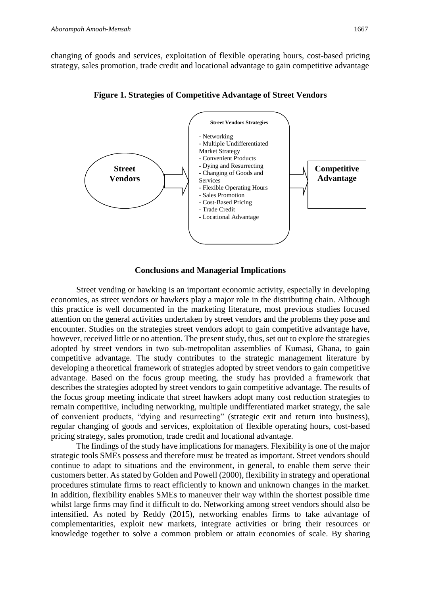changing of goods and services, exploitation of flexible operating hours, cost-based pricing strategy, sales promotion, trade credit and locational advantage to gain competitive advantage



**Figure 1. Strategies of Competitive Advantage of Street Vendors**

## **Conclusions and Managerial Implications**

Street vending or hawking is an important economic activity, especially in developing economies, as street vendors or hawkers play a major role in the distributing chain. Although this practice is well documented in the marketing literature, most previous studies focused attention on the general activities undertaken by street vendors and the problems they pose and encounter. Studies on the strategies street vendors adopt to gain competitive advantage have, however, received little or no attention. The present study, thus, set out to explore the strategies adopted by street vendors in two sub-metropolitan assemblies of Kumasi, Ghana, to gain competitive advantage. The study contributes to the strategic management literature by developing a theoretical framework of strategies adopted by street vendors to gain competitive advantage. Based on the focus group meeting, the study has provided a framework that describes the strategies adopted by street vendors to gain competitive advantage. The results of the focus group meeting indicate that street hawkers adopt many cost reduction strategies to remain competitive, including networking, multiple undifferentiated market strategy, the sale of convenient products, "dying and resurrecting" (strategic exit and return into business), regular changing of goods and services, exploitation of flexible operating hours, cost-based pricing strategy, sales promotion, trade credit and locational advantage.

The findings of the study have implications for managers. Flexibility is one of the major strategic tools SMEs possess and therefore must be treated as important. Street vendors should continue to adapt to situations and the environment, in general, to enable them serve their customers better. As stated by Golden and Powell (2000), flexibility in strategy and operational procedures stimulate firms to react efficiently to known and unknown changes in the market. In addition, flexibility enables SMEs to maneuver their way within the shortest possible time whilst large firms may find it difficult to do. Networking among street vendors should also be intensified. As noted by Reddy (2015), networking enables firms to take advantage of complementarities, exploit new markets, integrate activities or bring their resources or knowledge together to solve a common problem or attain economies of scale. By sharing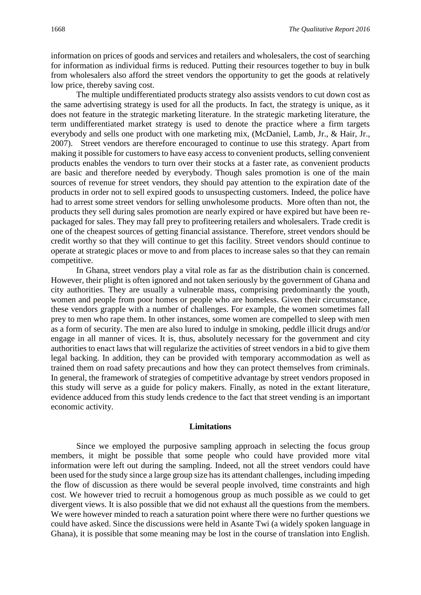information on prices of goods and services and retailers and wholesalers, the cost of searching for information as individual firms is reduced. Putting their resources together to buy in bulk from wholesalers also afford the street vendors the opportunity to get the goods at relatively low price, thereby saving cost.

The multiple undifferentiated products strategy also assists vendors to cut down cost as the same advertising strategy is used for all the products. In fact, the strategy is unique, as it does not feature in the strategic marketing literature. In the strategic marketing literature, the term undifferentiated market strategy is used to denote the practice where a firm targets everybody and sells one product with one marketing mix, (McDaniel, Lamb, Jr., & Hair, Jr., 2007). Street vendors are therefore encouraged to continue to use this strategy. Apart from making it possible for customers to have easy access to convenient products, selling convenient products enables the vendors to turn over their stocks at a faster rate, as convenient products are basic and therefore needed by everybody. Though sales promotion is one of the main sources of revenue for street vendors, they should pay attention to the expiration date of the products in order not to sell expired goods to unsuspecting customers. Indeed, the police have had to arrest some street vendors for selling unwholesome products. More often than not, the products they sell during sales promotion are nearly expired or have expired but have been repackaged for sales. They may fall prey to profiteering retailers and wholesalers. Trade credit is one of the cheapest sources of getting financial assistance. Therefore, street vendors should be credit worthy so that they will continue to get this facility. Street vendors should continue to operate at strategic places or move to and from places to increase sales so that they can remain competitive.

In Ghana, street vendors play a vital role as far as the distribution chain is concerned. However, their plight is often ignored and not taken seriously by the government of Ghana and city authorities. They are usually a vulnerable mass, comprising predominantly the youth, women and people from poor homes or people who are homeless. Given their circumstance, these vendors grapple with a number of challenges. For example, the women sometimes fall prey to men who rape them. In other instances, some women are compelled to sleep with men as a form of security. The men are also lured to indulge in smoking, peddle illicit drugs and/or engage in all manner of vices. It is, thus, absolutely necessary for the government and city authorities to enact laws that will regularize the activities of street vendors in a bid to give them legal backing. In addition, they can be provided with temporary accommodation as well as trained them on road safety precautions and how they can protect themselves from criminals. In general, the framework of strategies of competitive advantage by street vendors proposed in this study will serve as a guide for policy makers. Finally, as noted in the extant literature, evidence adduced from this study lends credence to the fact that street vending is an important economic activity.

#### **Limitations**

Since we employed the purposive sampling approach in selecting the focus group members, it might be possible that some people who could have provided more vital information were left out during the sampling. Indeed, not all the street vendors could have been used for the study since a large group size has its attendant challenges, including impeding the flow of discussion as there would be several people involved, time constraints and high cost. We however tried to recruit a homogenous group as much possible as we could to get divergent views. It is also possible that we did not exhaust all the questions from the members. We were however minded to reach a saturation point where there were no further questions we could have asked. Since the discussions were held in Asante Twi (a widely spoken language in Ghana), it is possible that some meaning may be lost in the course of translation into English.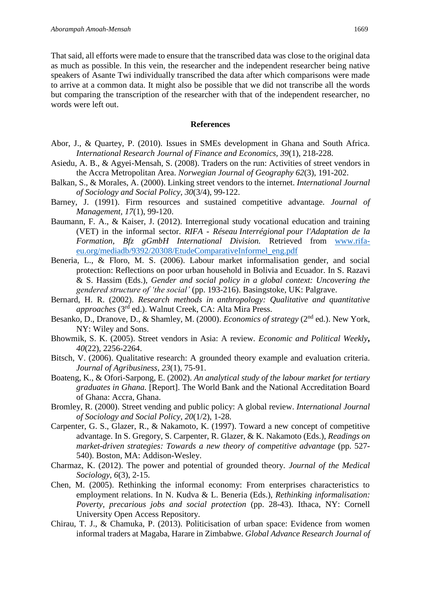That said, all efforts were made to ensure that the transcribed data was close to the original data as much as possible. In this vein, the researcher and the independent researcher being native speakers of Asante Twi individually transcribed the data after which comparisons were made to arrive at a common data. It might also be possible that we did not transcribe all the words but comparing the transcription of the researcher with that of the independent researcher, no words were left out.

#### **References**

- Abor, J., & Quartey, P. (2010). Issues in SMEs development in Ghana and South Africa. *International Research Journal of Finance and Economics, 39*(1), 218-228.
- Asiedu, A. B., & Agyei-Mensah, S. (2008). Traders on the run: Activities of street vendors in the Accra Metropolitan Area. *Norwegian Journal of Geography 62*(3), 191-202.
- Balkan, S., & Morales, A. (2000). Linking street vendors to the internet. *International Journal of Sociology and Social Policy, 30*(3/4), 99-122.
- Barney, J. (1991). Firm resources and sustained competitive advantage. *Journal of Management, 17*(1), 99-120.
- Baumann, F. A., & Kaiser, J. (2012). Interregional study vocational education and training (VET) in the informal sector. *RIFA - Réseau Interrégional pour l'Adaptation de la Formation, Bfz gGmbH International Division.* Retrieved from [www.rifa](http://www.rifa-eu.org/mediadb/9392/20308/EtudeComparativeInformel_eng.pdf)[eu.org/mediadb/9392/20308/EtudeComparativeInformel\\_eng.pdf](http://www.rifa-eu.org/mediadb/9392/20308/EtudeComparativeInformel_eng.pdf)
- Beneria, L., & Floro, M. S. (2006). Labour market informalisation gender, and social protection: Reflections on poor urban household in Bolivia and Ecuador. In S. Razavi & S. Hassim (Eds.), *Gender and social policy in a global context: Uncovering the gendered structure of 'the social'* (pp. 193-216). Basingstoke, UK: Palgrave.
- Bernard, H. R. (2002). *Research methods in anthropology: Qualitative and quantitative approaches* (3rd ed.). Walnut Creek, CA: Alta Mira Press.
- Besanko, D., Dranove, D., & Shamley, M. (2000). *Economics of strategy* (2<sup>nd</sup> ed.). New York, NY: Wiley and Sons.
- Bhowmik, S. K. (2005). Street vendors in Asia: A review. *Economic and Political Weekly***,**  *40*(22), 2256-2264.
- Bitsch, V. (2006). Qualitative research: A grounded theory example and evaluation criteria. *Journal of Agribusiness*, *23*(1), 75-91.
- Boateng, K., & Ofori-Sarpong, E. (2002). *An analytical study of the labour market for tertiary graduates in Ghana.* [Report]. The World Bank and the National Accreditation Board of Ghana: Accra, Ghana.
- Bromley, R. (2000). Street vending and public policy: A global review. *International Journal of Sociology and Social Policy, 20*(1/2), 1-28.
- Carpenter, G. S., Glazer, R., & Nakamoto, K. (1997). Toward a new concept of competitive advantage. In S. Gregory, S. Carpenter, R. Glazer, & K. Nakamoto (Eds.), *Readings on market-driven strategies: Towards a new theory of competitive advantage* (pp. 527- 540). Boston, MA: Addison-Wesley.
- Charmaz, K. (2012). The power and potential of grounded theory. *Journal of the Medical Sociology, 6*(3), 2-15.
- Chen, M. (2005). Rethinking the informal economy: From enterprises characteristics to employment relations. In N. Kudva & L. Beneria (Eds.), *Rethinking informalisation: Poverty, precarious jobs and social protection* (pp. 28-43)*.* Ithaca, NY: Cornell University Open Access Repository.
- Chirau, T. J., & Chamuka, P. (2013). Politicisation of urban space: Evidence from women informal traders at Magaba, Harare in Zimbabwe. *Global Advance Research Journal of*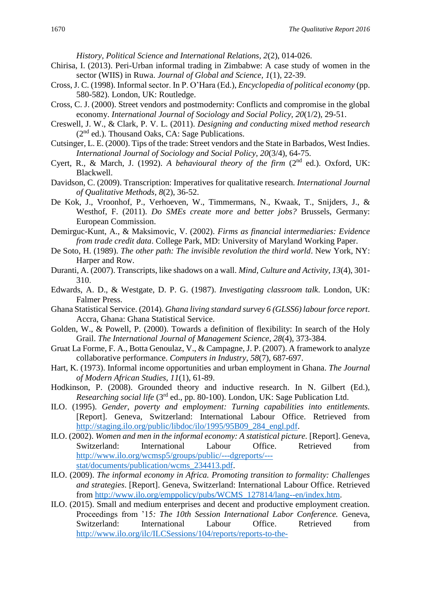*History, Political Science and International Relations, 2*(2), 014-026.

- Chirisa, I. (2013). Peri-Urban informal trading in Zimbabwe: A case study of women in the sector (WIIS) in Ruwa. *Journal of Global and Science, 1*(1), 22-39.
- Cross, J. C. (1998). Informal sector. In P. O'Hara (Ed.), *Encyclopedia of political economy* (pp. 580-582). London, UK: Routledge.
- Cross, C. J. (2000). Street vendors and postmodernity: Conflicts and compromise in the global economy. *International Journal of Sociology and Social Policy, 20*(1/2), 29-51.
- Creswell, J. W., & Clark, P. V. L. (2011). *Designing and conducting mixed method research*  $(2<sup>nd</sup>$  ed.). Thousand Oaks, CA: Sage Publications.
- Cutsinger, L. E. (2000). Tips of the trade: Street vendors and the State in Barbados, West Indies. *International Journal of Sociology and Social Policy, 20*(3/4), 64-75.
- Cyert, R., & March, J. (1992). *A behavioural theory of the firm* (2<sup>nd</sup> ed.). Oxford, UK: Blackwell.
- Davidson, C. (2009). Transcription: Imperatives for qualitative research*. International Journal of Qualitative Methods, 8*(2), 36-52.
- De Kok, J., Vroonhof, P., Verhoeven, W., Timmermans, N., Kwaak, T., Snijders, J., & Westhof, F. (2011). *Do SMEs create more and better jobs?* Brussels, Germany: European Commission.
- Demirguc-Kunt, A., & Maksimovic, V. (2002). *Firms as financial intermediaries: Evidence from trade credit data*. College Park, MD: University of Maryland Working Paper.
- De Soto, H. (1989). *The other path: The invisible revolution the third world*. New York, NY: Harper and Row.
- Duranti, A. (2007). Transcripts, like shadows on a wall. *Mind, Culture and Activity*, *13*(4), 301- 310.
- Edwards, A. D., & Westgate, D. P. G. (1987). *Investigating classroom talk*. London, UK: Falmer Press.
- Ghana Statistical Service. (2014). *Ghana living standard survey 6 (GLSS6) labour force report*. Accra, Ghana: Ghana Statistical Service.
- Golden, W., & Powell, P. (2000). Towards a definition of flexibility: In search of the Holy Grail. *The International Journal of Management Science, 28*(4), 373-384.
- Gruat La Forme, F. A., Botta Genoulaz, V., & Campagne, J. P. (2007). A framework to analyze collaborative performance. *Computers in Industry, 58*(7), 687-697.
- Hart, K. (1973). Informal income opportunities and urban employment in Ghana. *The Journal of Modern African Studies, 11*(1), 61-89.
- Hodkinson, P. (2008). Grounded theory and inductive research. In N. Gilbert (Ed.), *Researching social life* (3rd ed., pp. 80-100). London, UK: Sage Publication Ltd.
- ILO. (1995). *Gender, poverty and employment: Turning capabilities into entitlements.*  [Report]. Geneva, Switzerland: International Labour Office. Retrieved from [http://staging.ilo.org/public/libdoc/ilo/1995/95B09\\_284\\_engl.pdf.](http://staging.ilo.org/public/libdoc/ilo/1995/95B09_284_engl.pdf)
- ILO. (2002). *Women and men in the informal economy: A statistical picture.* [Report]. Geneva, Switzerland: International Labour Office. Retrieved from [http://www.ilo.org/wcmsp5/groups/public/---dgreports/--](http://www.ilo.org/wcmsp5/groups/public/---dgreports/---stat/documents/publication/wcms_234413.pdf) [stat/documents/publication/wcms\\_234413.pdf.](http://www.ilo.org/wcmsp5/groups/public/---dgreports/---stat/documents/publication/wcms_234413.pdf)
- ILO. (2009). *The informal economy in Africa. Promoting transition to formality: Challenges and strategies*. [Report]. Geneva, Switzerland: International Labour Office. Retrieved from [http://www.ilo.org/emppolicy/pubs/WCMS\\_127814/lang--en/index.htm.](http://www.ilo.org/emppolicy/pubs/WCMS_127814/lang--en/index.htm)
- ILO. (2015). Small and medium enterprises and decent and productive employment creation. Proceedings from '15: The 10th Session International Labor Conference. Geneva, Switzerland: International Labour Office. Retrieved from [http://www.ilo.org/ilc/ILCSessions/104/reports/reports-to-the-](http://www.ilo.org/ilc/ILCSessions/104/reports/reports-to-the-conference/WCMS_358294/lang--en/index.htm)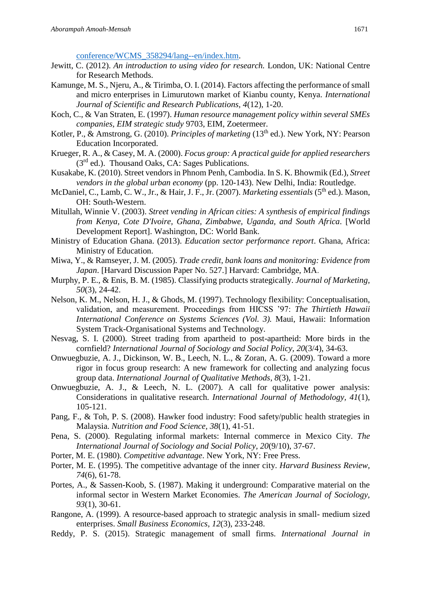[conference/WCMS\\_358294/lang--en/index.htm.](http://www.ilo.org/ilc/ILCSessions/104/reports/reports-to-the-conference/WCMS_358294/lang--en/index.htm)

- Jewitt, C. (2012). *An introduction to using video for research.* London, UK: National Centre for Research Methods.
- Kamunge, M. S., Njeru, A., & Tirimba, O. I. (2014). Factors affecting the performance of small and micro enterprises in Limurutown market of Kianbu county, Kenya. *International Journal of Scientific and Research Publications, 4*(12), 1-20.
- Koch, C., & Van Straten, E. (1997). *Human resource management policy within several SMEs companies, EIM strategic study* 9703, EIM, Zoetermeer.
- Kotler, P., & Amstrong, G. (2010). *Principles of marketing* (13<sup>th</sup> ed.). New York, NY: Pearson Education Incorporated.
- Krueger, R. A., & Casey, M. A. (2000). *Focus group: A practical guide for applied researchers*  $(3<sup>rd</sup>$  ed.). Thousand Oaks, CA: Sages Publications.
- Kusakabe, K. (2010). Street vendors in Phnom Penh, Cambodia. In S. K. Bhowmik (Ed.), *Street vendors in the global urban economy* (pp. 120-143). New Delhi, India: Routledge.
- McDaniel, C., Lamb, C. W., Jr., & Hair, J. F., Jr. (2007). *Marketing essentials* (5<sup>th</sup> ed.). Mason, OH: South-Western.
- Mitullah, Winnie V. (2003). *Street vending in African cities: A synthesis of empirical findings from Kenya, Cote D'Ivoire, Ghana, Zimbabwe, Uganda, and South Africa*. [World Development Report]. Washington, DC: World Bank.
- Ministry of Education Ghana. (2013). *Education sector performance report*. Ghana, Africa: Ministry of Education.
- Miwa, Y., & Ramseyer, J. M. (2005). *Trade credit, bank loans and monitoring: Evidence from Japan*. [Harvard Discussion Paper No. 527.] Harvard: Cambridge, MA.
- Murphy, P. E., & Enis, B. M. (1985). Classifying products strategically. *Journal of Marketing, 50*(3), 24-42.
- Nelson, K. M., Nelson, H. J., & Ghods, M. (1997). Technology flexibility: Conceptualisation, validation, and measurement. Proceedings from HICSS '97: *The Thirtieth Hawaii International Conference on Systems Sciences (Vol. 3).* Maui, Hawaii: Information System Track-Organisational Systems and Technology.
- Nesvag, S. I. (2000). Street trading from apartheid to post-apartheid: More birds in the cornfield? *International Journal of Sociology and Social Policy, 20*(3/4), 34-63.
- Onwuegbuzie, A. J., Dickinson, W. B., Leech, N. L., & Zoran, A. G. (2009). Toward a more rigor in focus group research: A new framework for collecting and analyzing focus group data. *International Journal of Qualitative Methods*, *8*(3), 1-21.
- Onwuegbuzie, A. J., & Leech, N. L. (2007). A call for qualitative power analysis: Considerations in qualitative research. *International Journal of Methodology, 41*(1), 105-121.
- Pang, F., & Toh, P. S. (2008). Hawker food industry: Food safety/public health strategies in Malaysia. *Nutrition and Food Science, 38*(1), 41-51.
- Pena, S. (2000). Regulating informal markets: Internal commerce in Mexico City. *The International Journal of Sociology and Social Policy, 20*(9/10), 37-67.
- Porter, M. E. (1980). *Competitive advantage*. New York, NY: Free Press.
- Porter, M. E. (1995). The competitive advantage of the inner city. *Harvard Business Review, 74*(6), 61-78.
- Portes, A., & Sassen-Koob, S. (1987). Making it underground: Comparative material on the informal sector in Western Market Economies. *The American Journal of Sociology, 93*(1), 30-61.
- Rangone, A. (1999). A resource-based approach to strategic analysis in small- medium sized enterprises. *Small Business Economics, 12*(3), 233-248.
- Reddy, P. S. (2015). Strategic management of small firms. *International Journal in*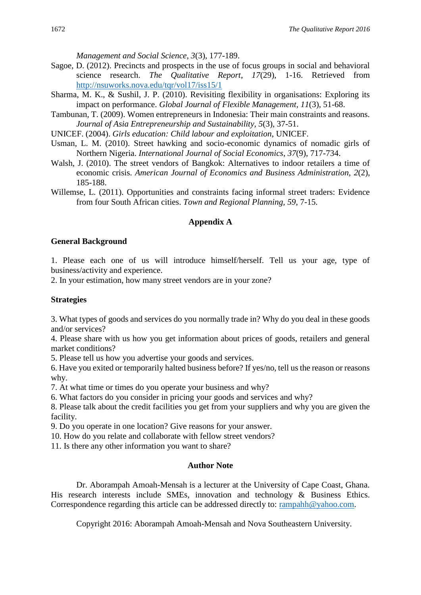*Management and Social Science, 3*(3), 177-189.

- Sagoe, D. (2012). Precincts and prospects in the use of focus groups in social and behavioral science research. *The Qualitative Report*, *17*(29), 1-16. Retrieved from <http://nsuworks.nova.edu/tqr/vol17/iss15/1>
- Sharma, M. K., & Sushil, J. P. (2010). Revisiting flexibility in organisations: Exploring its impact on performance. *Global Journal of Flexible Management, 11*(3), 51-68.
- Tambunan, T. (2009). Women entrepreneurs in Indonesia: Their main constraints and reasons. *Journal of Asia Entrepreneurship and Sustainability, 5*(3), 37-51.
- UNICEF. (2004). *Girls education: Child labour and exploitation*, UNICEF.
- Usman, L. M. (2010). Street hawking and socio-economic dynamics of nomadic girls of Northern Nigeria. *International Journal of Social Economics, 37*(9), 717-734.
- Walsh, J. (2010). The street vendors of Bangkok: Alternatives to indoor retailers a time of economic crisis. *American Journal of Economics and Business Administration, 2*(2), 185-188.
- Willemse, L. (2011). Opportunities and constraints facing informal street traders: Evidence from four South African cities. *Town and Regional Planning, 59*, 7-15.

## **Appendix A**

#### **General Background**

1. Please each one of us will introduce himself/herself. Tell us your age, type of business/activity and experience.

2. In your estimation, how many street vendors are in your zone?

## **Strategies**

3. What types of goods and services do you normally trade in? Why do you deal in these goods and/or services?

4. Please share with us how you get information about prices of goods, retailers and general market conditions?

5. Please tell us how you advertise your goods and services.

6. Have you exited or temporarily halted business before? If yes/no, tell us the reason or reasons why.

7. At what time or times do you operate your business and why?

6. What factors do you consider in pricing your goods and services and why?

8. Please talk about the credit facilities you get from your suppliers and why you are given the facility.

9. Do you operate in one location? Give reasons for your answer.

10. How do you relate and collaborate with fellow street vendors?

11. Is there any other information you want to share?

## **Author Note**

Dr. Aborampah Amoah-Mensah is a lecturer at the University of Cape Coast, Ghana. His research interests include SMEs, innovation and technology & Business Ethics. Correspondence regarding this article can be addressed directly to: [rampahh@yahoo.com.](mailto:rampahh@yahoo.com)

Copyright 2016: Aborampah Amoah-Mensah and Nova Southeastern University.